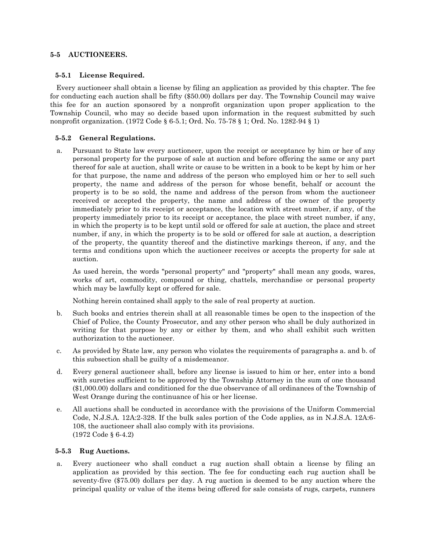## **5-5 AUCTIONEERS.**

## **5-5.1 License Required.**

Every auctioneer shall obtain a license by filing an application as provided by this chapter. The fee for conducting each auction shall be fifty (\$50.00) dollars per day. The Township Council may waive this fee for an auction sponsored by a nonprofit organization upon proper application to the Township Council, who may so decide based upon information in the request submitted by such nonprofit organization. (1972 Code § 6-5.1; Ord. No. 75-78 § 1; Ord. No. 1282-94 § 1)

## **5-5.2 General Regulations.**

a. Pursuant to State law every auctioneer, upon the receipt or acceptance by him or her of any personal property for the purpose of sale at auction and before offering the same or any part thereof for sale at auction, shall write or cause to be written in a book to be kept by him or her for that purpose, the name and address of the person who employed him or her to sell such property, the name and address of the person for whose benefit, behalf or account the property is to be so sold, the name and address of the person from whom the auctioneer received or accepted the property, the name and address of the owner of the property immediately prior to its receipt or acceptance, the location with street number, if any, of the property immediately prior to its receipt or acceptance, the place with street number, if any, in which the property is to be kept until sold or offered for sale at auction, the place and street number, if any, in which the property is to be sold or offered for sale at auction, a description of the property, the quantity thereof and the distinctive markings thereon, if any, and the terms and conditions upon which the auctioneer receives or accepts the property for sale at auction.

As used herein, the words "personal property" and "property" shall mean any goods, wares, works of art, commodity, compound or thing, chattels, merchandise or personal property which may be lawfully kept or offered for sale.

Nothing herein contained shall apply to the sale of real property at auction.

- b. Such books and entries therein shall at all reasonable times be open to the inspection of the Chief of Police, the County Prosecutor, and any other person who shall be duly authorized in writing for that purpose by any or either by them, and who shall exhibit such written authorization to the auctioneer.
- c. As provided by State law, any person who violates the requirements of paragraphs a. and b. of this subsection shall be guilty of a misdemeanor.
- d. Every general auctioneer shall, before any license is issued to him or her, enter into a bond with sureties sufficient to be approved by the Township Attorney in the sum of one thousand (\$1,000.00) dollars and conditioned for the due observance of all ordinances of the Township of West Orange during the continuance of his or her license.
- e. All auctions shall be conducted in accordance with the provisions of the Uniform Commercial Code, N.J.S.A. 12A:2-328. If the bulk sales portion of the Code applies, as in N.J.S.A. 12A:6- 108, the auctioneer shall also comply with its provisions. (1972 Code § 6-4.2)

## **5-5.3 Rug Auctions.**

a. Every auctioneer who shall conduct a rug auction shall obtain a license by filing an application as provided by this section. The fee for conducting each rug auction shall be seventy-five (\$75.00) dollars per day. A rug auction is deemed to be any auction where the principal quality or value of the items being offered for sale consists of rugs, carpets, runners